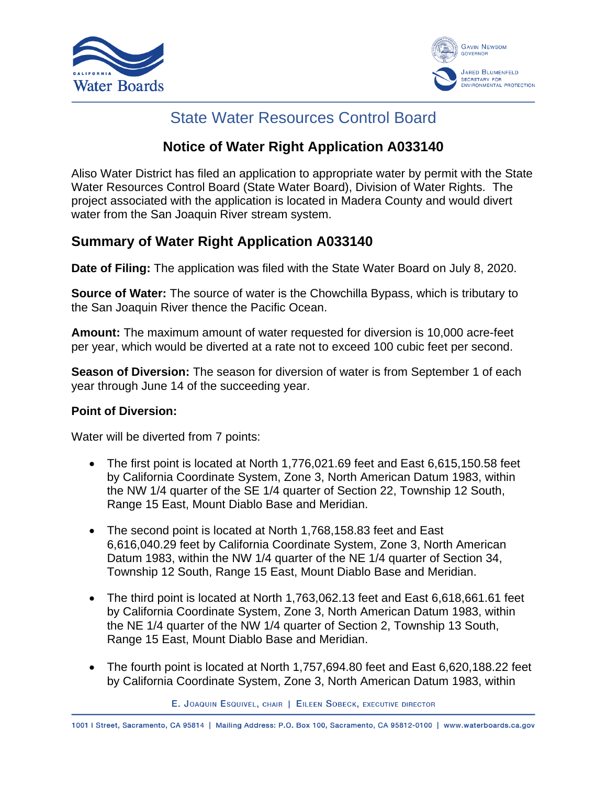



# State Water Resources Control Board

## **Notice of Water Right Application A033140**

Aliso Water District has filed an application to appropriate water by permit with the State Water Resources Control Board (State Water Board), Division of Water Rights. The project associated with the application is located in Madera County and would divert water from the San Joaquin River stream system.

## **Summary of Water Right Application A033140**

**Date of Filing:** The application was filed with the State Water Board on July 8, 2020.

**Source of Water:** The source of water is the Chowchilla Bypass, which is tributary to the San Joaquin River thence the Pacific Ocean.

**Amount:** The maximum amount of water requested for diversion is 10,000 acre-feet per year, which would be diverted at a rate not to exceed 100 cubic feet per second.

**Season of Diversion:** The season for diversion of water is from September 1 of each year through June 14 of the succeeding year.

#### **Point of Diversion:**

Water will be diverted from 7 points:

- The first point is located at North 1,776,021.69 feet and East 6,615,150.58 feet by California Coordinate System, Zone 3, North American Datum 1983, within the NW 1/4 quarter of the SE 1/4 quarter of Section 22, Township 12 South, Range 15 East, Mount Diablo Base and Meridian.
- The second point is located at North 1,768,158.83 feet and East 6,616,040.29 feet by California Coordinate System, Zone 3, North American Datum 1983, within the NW 1/4 quarter of the NE 1/4 quarter of Section 34, Township 12 South, Range 15 East, Mount Diablo Base and Meridian.
- The third point is located at North 1,763,062.13 feet and East 6,618,661.61 feet by California Coordinate System, Zone 3, North American Datum 1983, within the NE 1/4 quarter of the NW 1/4 quarter of Section 2, Township 13 South, Range 15 East, Mount Diablo Base and Meridian.
- The fourth point is located at North 1,757,694.80 feet and East 6,620,188.22 feet by California Coordinate System, Zone 3, North American Datum 1983, within

E. JOAQUIN ESQUIVEL, CHAIR | EILEEN SOBECK, EXECUTIVE DIRECTOR

1001 | Street, Sacramento, CA 95814 | Mailing Address: P.O. Box 100, Sacramento, CA 95812-0100 | www.waterboards.ca.gov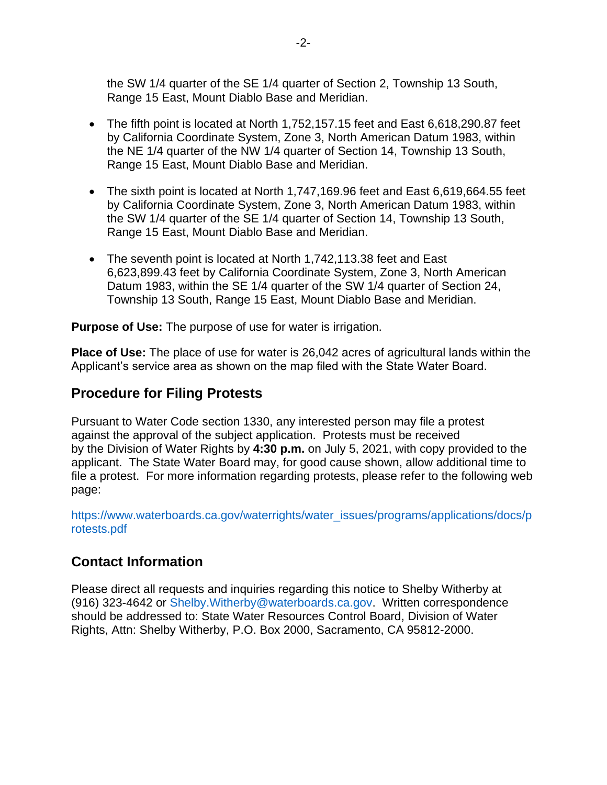the SW 1/4 quarter of the SE 1/4 quarter of Section 2, Township 13 South, Range 15 East, Mount Diablo Base and Meridian.

- The fifth point is located at North 1,752,157.15 feet and East 6,618,290.87 feet by California Coordinate System, Zone 3, North American Datum 1983, within the NE 1/4 quarter of the NW 1/4 quarter of Section 14, Township 13 South, Range 15 East, Mount Diablo Base and Meridian.
- The sixth point is located at North 1,747,169.96 feet and East 6,619,664.55 feet by California Coordinate System, Zone 3, North American Datum 1983, within the SW 1/4 quarter of the SE 1/4 quarter of Section 14, Township 13 South, Range 15 East, Mount Diablo Base and Meridian.
- The seventh point is located at North 1,742,113.38 feet and East 6,623,899.43 feet by California Coordinate System, Zone 3, North American Datum 1983, within the SE 1/4 quarter of the SW 1/4 quarter of Section 24, Township 13 South, Range 15 East, Mount Diablo Base and Meridian.

**Purpose of Use:** The purpose of use for water is irrigation.

**Place of Use:** The place of use for water is 26,042 acres of agricultural lands within the Applicant's service area as shown on the map filed with the State Water Board.

### **Procedure for Filing Protests**

Pursuant to Water Code section 1330, any interested person may file a protest against the approval of the subject application. Protests must be received by the Division of Water Rights by **4:30 p.m.** on July 5, 2021, with copy provided to the applicant. The State Water Board may, for good cause shown, allow additional time to file a protest. For more information regarding protests, please refer to the following web page:

[https://www.waterboards.ca.gov/waterrights/water\\_issues/programs/applications/docs/p](https://www.waterboards.ca.gov/waterrights/water_issues/programs/applications/docs/protests.pdf) [rotests.pdf](https://www.waterboards.ca.gov/waterrights/water_issues/programs/applications/docs/protests.pdf)

### **Contact Information**

Please direct all requests and inquiries regarding this notice to Shelby Witherby at (916) 323-4642 or [Shelby.Witherby@waterboards.ca.gov.](mailto:Shelby.Witherby@waterboards.ca.gov) Written correspondence should be addressed to: State Water Resources Control Board, Division of Water Rights, Attn: Shelby Witherby, P.O. Box 2000, Sacramento, CA 95812-2000.